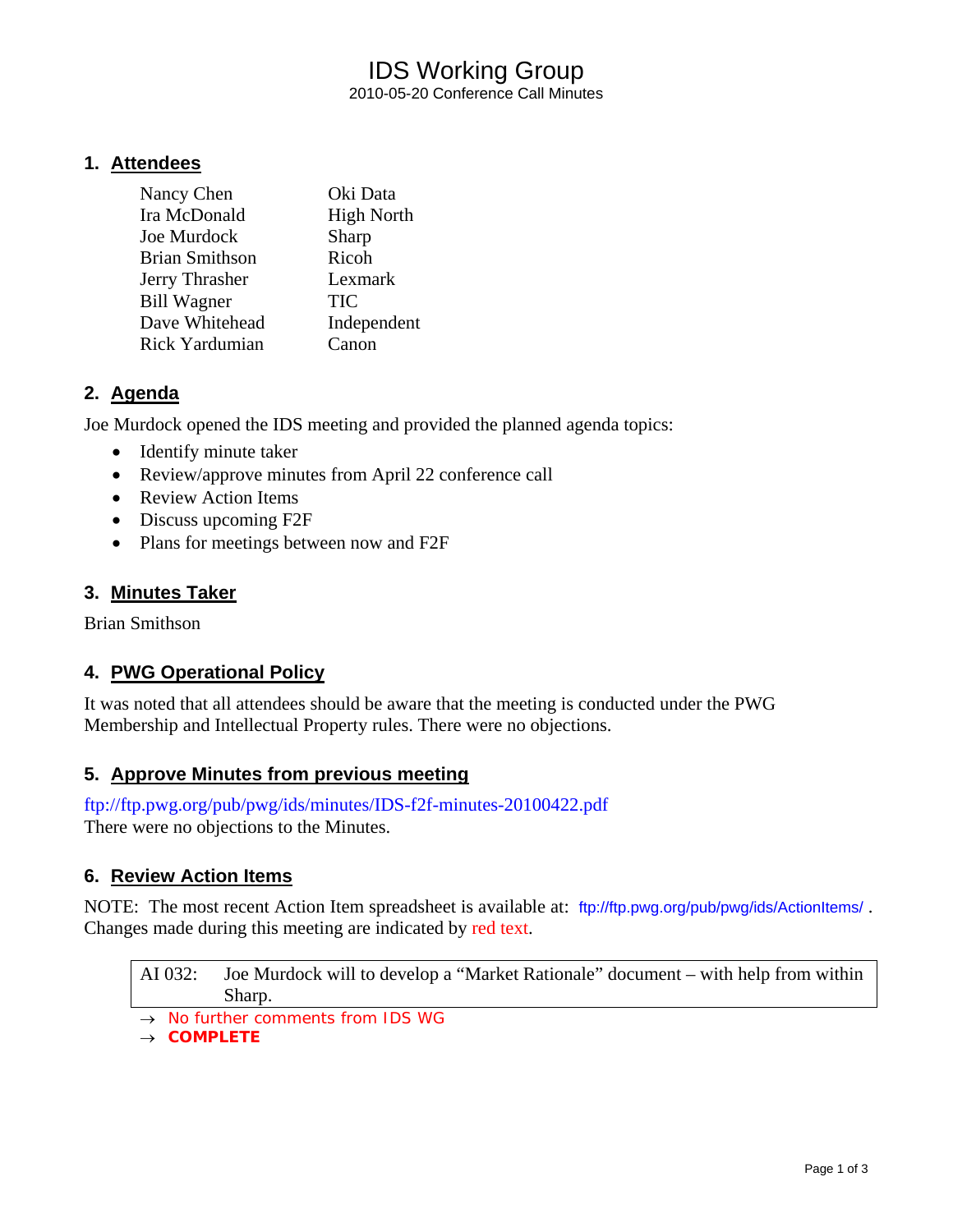## IDS Working Group 2010-05-20 Conference Call Minutes

### **1. Attendees**

| Nancy Chen            | Oki Data          |
|-----------------------|-------------------|
| Ira McDonald          | <b>High North</b> |
| Joe Murdock           | Sharp             |
| <b>Brian Smithson</b> | Ricoh             |
| Jerry Thrasher        | Lexmark           |
| <b>Bill Wagner</b>    | TIC               |
| Dave Whitehead        | Independent       |
| Rick Yardumian        | C <sub>anon</sub> |

### **2. Agenda**

Joe Murdock opened the IDS meeting and provided the planned agenda topics:

- Identify minute taker
- Review/approve minutes from April 22 conference call
- Review Action Items
- Discuss upcoming F2F
- Plans for meetings between now and F2F

### **3. Minutes Taker**

Brian Smithson

## **4. PWG Operational Policy**

It was noted that all attendees should be aware that the meeting is conducted under the PWG Membership and Intellectual Property rules. There were no objections.

### **5. Approve Minutes from previous meeting**

<ftp://ftp.pwg.org/pub/pwg/ids/minutes/IDS-f2f-minutes-20100422.pdf> There were no objections to the Minutes.

### **6. Review Action Items**

NOTE: The most recent Action Item spreadsheet is available at: <ftp://ftp.pwg.org/pub/pwg/ids/ActionItems/>. Changes made during this meeting are indicated by red text.

AI 032: Joe Murdock will to develop a "Market Rationale" document – with help from within Sharp.

- → *No further comments from IDS WG*
- → *COMPLETE*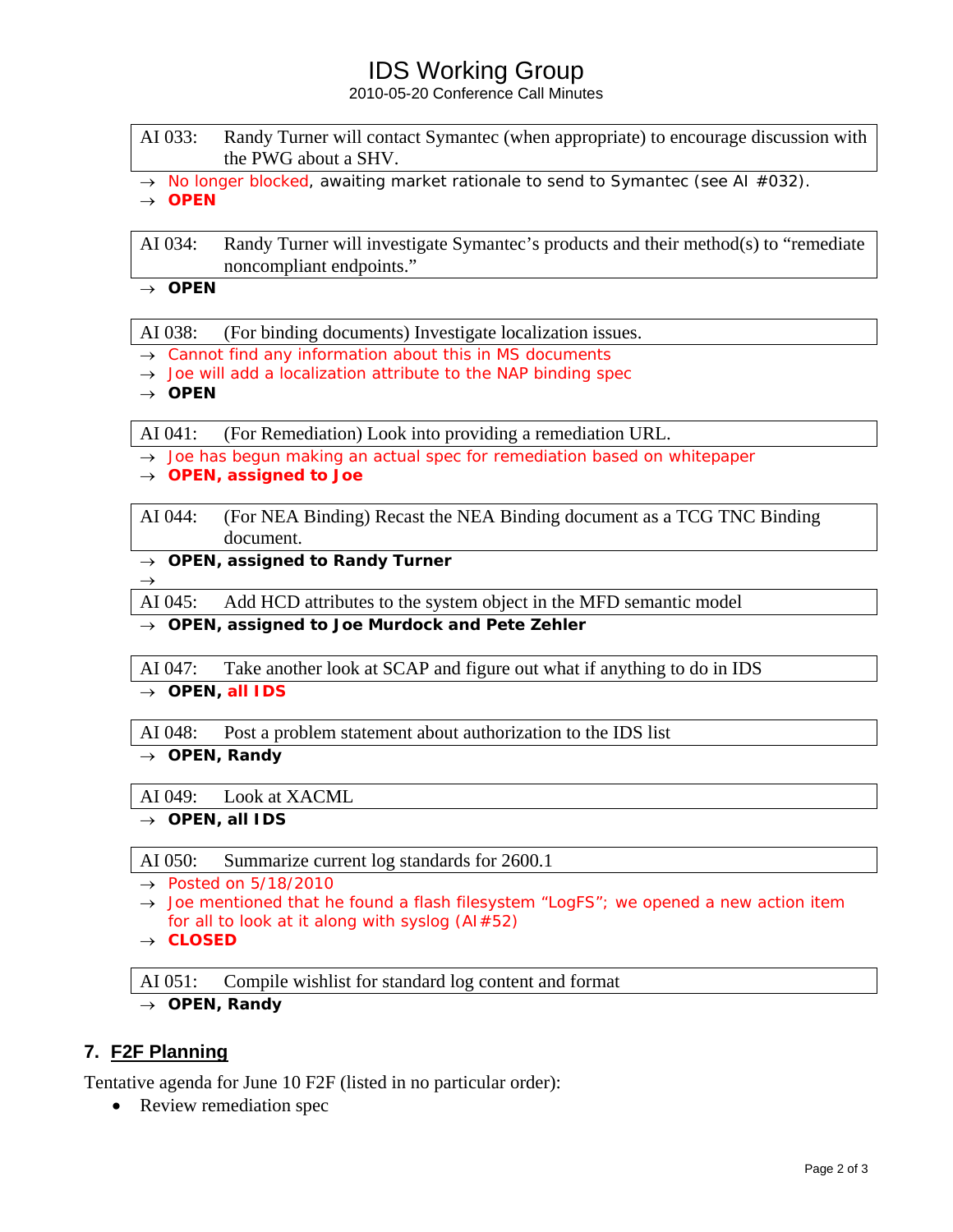# IDS Working Group

2010-05-20 Conference Call Minutes

| AI 033: | Randy Turner will contact Symantec (when appropriate) to encourage discussion with |
|---------|------------------------------------------------------------------------------------|
|         | the PWG about a SHV.                                                               |

→ *No longer blocked, awaiting market rationale to send to Symantec (see AI #032).*

→ *OPEN* 

AI 034: Randy Turner will investigate Symantec's products and their method(s) to "remediate noncompliant endpoints."

→ *OPEN* 

AI 038: (For binding documents) Investigate localization issues.

- → *Cannot find any information about this in MS documents*
- → *Joe will add a localization attribute to the NAP binding spec*
- → *OPEN*

 $\rightarrow$ 

AI 041: (For Remediation) Look into providing a remediation URL.

→ *Joe has begun making an actual spec for remediation based on whitepaper*

- → *OPEN, assigned to Joe*
- AI 044: (For NEA Binding) Recast the NEA Binding document as a TCG TNC Binding document.

→ *OPEN, assigned to Randy Turner*

AI 045: Add HCD attributes to the system object in the MFD semantic model

→ *OPEN, assigned to Joe Murdock and Pete Zehler* 

AI 047: Take another look at SCAP and figure out what if anything to do in IDS

→ *OPEN, all IDS*

AI 048: Post a problem statement about authorization to the IDS list

→ *OPEN, Randy* 

AI 049: Look at XACML

→ *OPEN, all IDS* 

AI 050: Summarize current log standards for 2600.1

→ *Posted on 5/18/2010* 

- → *Joe mentioned that he found a flash filesystem "LogFS"; we opened a new action item for all to look at it along with syslog (AI#52)*
- → *CLOSED*

AI 051: Compile wishlist for standard log content and format

→ *OPEN, Randy* 

## **7. F2F Planning**

Tentative agenda for June 10 F2F (listed in no particular order):

• Review remediation spec